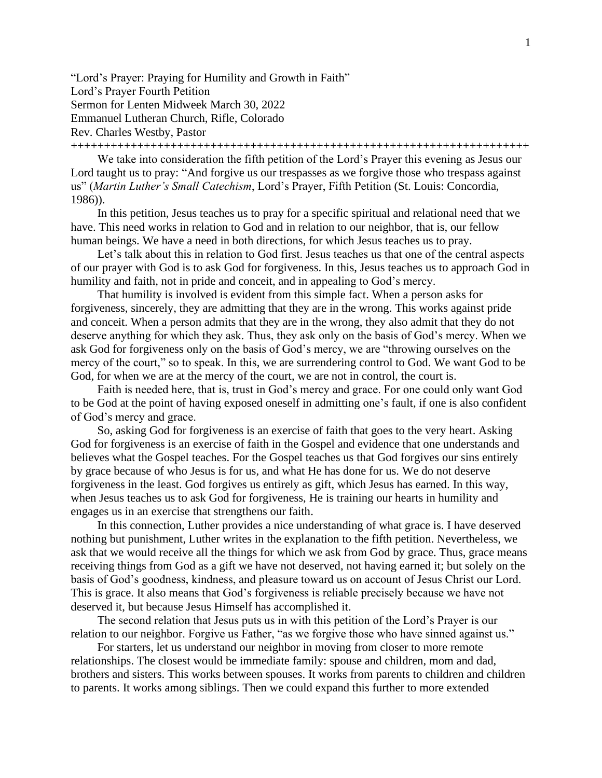"Lord's Prayer: Praying for Humility and Growth in Faith" Lord's Prayer Fourth Petition Sermon for Lenten Midweek March 30, 2022 Emmanuel Lutheran Church, Rifle, Colorado Rev. Charles Westby, Pastor

+++++++++++++++++++++++++++++++++++++++++++++++++++++++++++++++++++++

We take into consideration the fifth petition of the Lord's Prayer this evening as Jesus our Lord taught us to pray: "And forgive us our trespasses as we forgive those who trespass against us" (*Martin Luther's Small Catechism*, Lord's Prayer, Fifth Petition (St. Louis: Concordia, 1986)).

In this petition, Jesus teaches us to pray for a specific spiritual and relational need that we have. This need works in relation to God and in relation to our neighbor, that is, our fellow human beings. We have a need in both directions, for which Jesus teaches us to pray.

Let's talk about this in relation to God first. Jesus teaches us that one of the central aspects of our prayer with God is to ask God for forgiveness. In this, Jesus teaches us to approach God in humility and faith, not in pride and conceit, and in appealing to God's mercy.

That humility is involved is evident from this simple fact. When a person asks for forgiveness, sincerely, they are admitting that they are in the wrong. This works against pride and conceit. When a person admits that they are in the wrong, they also admit that they do not deserve anything for which they ask. Thus, they ask only on the basis of God's mercy. When we ask God for forgiveness only on the basis of God's mercy, we are "throwing ourselves on the mercy of the court," so to speak. In this, we are surrendering control to God. We want God to be God, for when we are at the mercy of the court, we are not in control, the court is.

Faith is needed here, that is, trust in God's mercy and grace. For one could only want God to be God at the point of having exposed oneself in admitting one's fault, if one is also confident of God's mercy and grace.

So, asking God for forgiveness is an exercise of faith that goes to the very heart. Asking God for forgiveness is an exercise of faith in the Gospel and evidence that one understands and believes what the Gospel teaches. For the Gospel teaches us that God forgives our sins entirely by grace because of who Jesus is for us, and what He has done for us. We do not deserve forgiveness in the least. God forgives us entirely as gift, which Jesus has earned. In this way, when Jesus teaches us to ask God for forgiveness, He is training our hearts in humility and engages us in an exercise that strengthens our faith.

In this connection, Luther provides a nice understanding of what grace is. I have deserved nothing but punishment, Luther writes in the explanation to the fifth petition. Nevertheless, we ask that we would receive all the things for which we ask from God by grace. Thus, grace means receiving things from God as a gift we have not deserved, not having earned it; but solely on the basis of God's goodness, kindness, and pleasure toward us on account of Jesus Christ our Lord. This is grace. It also means that God's forgiveness is reliable precisely because we have not deserved it, but because Jesus Himself has accomplished it.

The second relation that Jesus puts us in with this petition of the Lord's Prayer is our relation to our neighbor. Forgive us Father, "as we forgive those who have sinned against us."

For starters, let us understand our neighbor in moving from closer to more remote relationships. The closest would be immediate family: spouse and children, mom and dad, brothers and sisters. This works between spouses. It works from parents to children and children to parents. It works among siblings. Then we could expand this further to more extended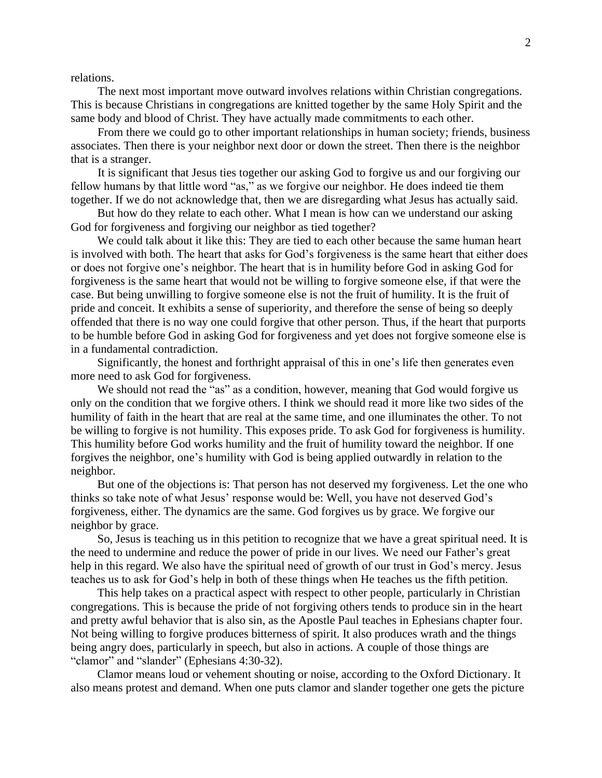relations.

The next most important move outward involves relations within Christian congregations. This is because Christians in congregations are knitted together by the same Holy Spirit and the same body and blood of Christ. They have actually made commitments to each other.

From there we could go to other important relationships in human society; friends, business associates. Then there is your neighbor next door or down the street. Then there is the neighbor that is a stranger.

It is significant that Jesus ties together our asking God to forgive us and our forgiving our fellow humans by that little word "as," as we forgive our neighbor. He does indeed tie them together. If we do not acknowledge that, then we are disregarding what Jesus has actually said.

But how do they relate to each other. What I mean is how can we understand our asking God for forgiveness and forgiving our neighbor as tied together?

We could talk about it like this: They are tied to each other because the same human heart is involved with both. The heart that asks for God's forgiveness is the same heart that either does or does not forgive one's neighbor. The heart that is in humility before God in asking God for forgiveness is the same heart that would not be willing to forgive someone else, if that were the case. But being unwilling to forgive someone else is not the fruit of humility. It is the fruit of pride and conceit. It exhibits a sense of superiority, and therefore the sense of being so deeply offended that there is no way one could forgive that other person. Thus, if the heart that purports to be humble before God in asking God for forgiveness and yet does not forgive someone else is in a fundamental contradiction.

Significantly, the honest and forthright appraisal of this in one's life then generates even more need to ask God for forgiveness.

We should not read the "as" as a condition, however, meaning that God would forgive us only on the condition that we forgive others. I think we should read it more like two sides of the humility of faith in the heart that are real at the same time, and one illuminates the other. To not be willing to forgive is not humility. This exposes pride. To ask God for forgiveness is humility. This humility before God works humility and the fruit of humility toward the neighbor. If one forgives the neighbor, one's humility with God is being applied outwardly in relation to the neighbor.

But one of the objections is: That person has not deserved my forgiveness. Let the one who thinks so take note of what Jesus' response would be: Well, you have not deserved God's forgiveness, either. The dynamics are the same. God forgives us by grace. We forgive our neighbor by grace.

So, Jesus is teaching us in this petition to recognize that we have a great spiritual need. It is the need to undermine and reduce the power of pride in our lives. We need our Father's great help in this regard. We also have the spiritual need of growth of our trust in God's mercy. Jesus teaches us to ask for God's help in both of these things when He teaches us the fifth petition.

This help takes on a practical aspect with respect to other people, particularly in Christian congregations. This is because the pride of not forgiving others tends to produce sin in the heart and pretty awful behavior that is also sin, as the Apostle Paul teaches in Ephesians chapter four. Not being willing to forgive produces bitterness of spirit. It also produces wrath and the things being angry does, particularly in speech, but also in actions. A couple of those things are "clamor" and "slander" (Ephesians 4:30-32).

Clamor means loud or vehement shouting or noise, according to the Oxford Dictionary. It also means protest and demand. When one puts clamor and slander together one gets the picture